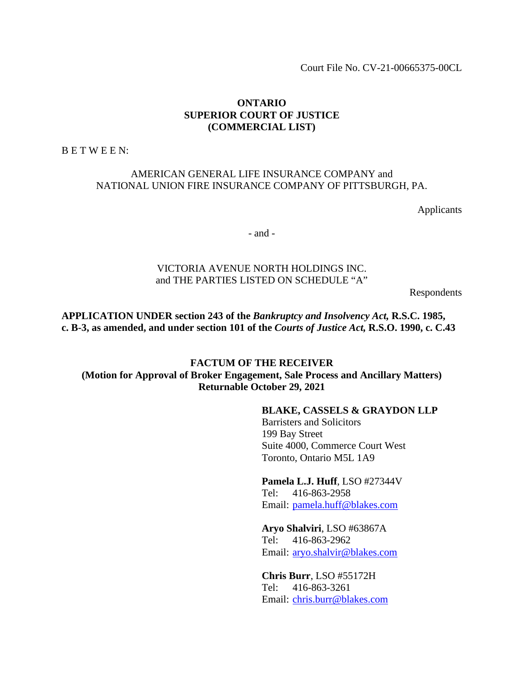Court File No. CV-21-00665375-00CL

### **ONTARIO SUPERIOR COURT OF JUSTICE (COMMERCIAL LIST)**

B E T W E E N:

## AMERICAN GENERAL LIFE INSURANCE COMPANY and NATIONAL UNION FIRE INSURANCE COMPANY OF PITTSBURGH, PA.

Applicants

- and -

## VICTORIA AVENUE NORTH HOLDINGS INC. and THE PARTIES LISTED ON SCHEDULE "A"

Respondents

**APPLICATION UNDER section 243 of the** *Bankruptcy and Insolvency Act,* **R.S.C. 1985, c. B-3, as amended, and under section 101 of the** *Courts of Justice Act,* **R.S.O. 1990, c. C.43** 

## **FACTUM OF THE RECEIVER (Motion for Approval of Broker Engagement, Sale Process and Ancillary Matters) Returnable October 29, 2021**

#### **BLAKE, CASSELS & GRAYDON LLP**

Barristers and Solicitors 199 Bay Street Suite 4000, Commerce Court West Toronto, Ontario M5L 1A9

### **Pamela L.J. Huff**, LSO #27344V Tel: 416-863-2958

Email: pamela.huff@blakes.com

#### **Aryo Shalviri**, LSO #63867A

Tel: 416-863-2962 Email: aryo.shalvir@blakes.com

### **Chris Burr**, LSO #55172H Tel: 416-863-3261 Email: chris.burr@blakes.com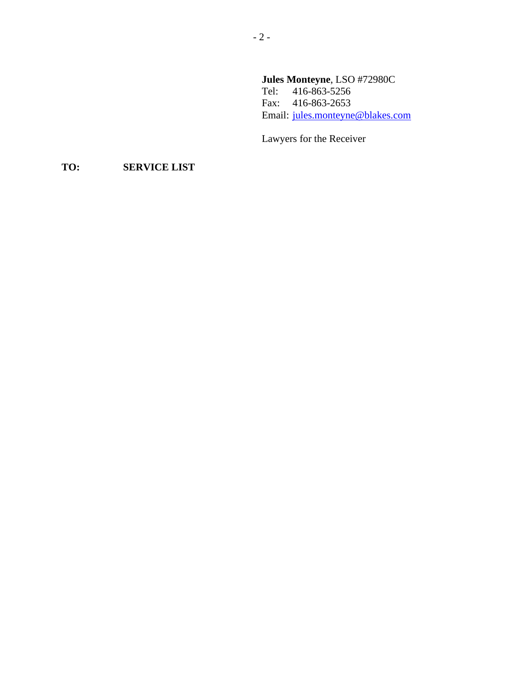# **Jules Monteyne**, LSO #72980C

Tel: 416-863-5256 Fax: 416-863-2653 Email: jules.monteyne@blakes.com

Lawyers for the Receiver

# **TO: SERVICE LIST**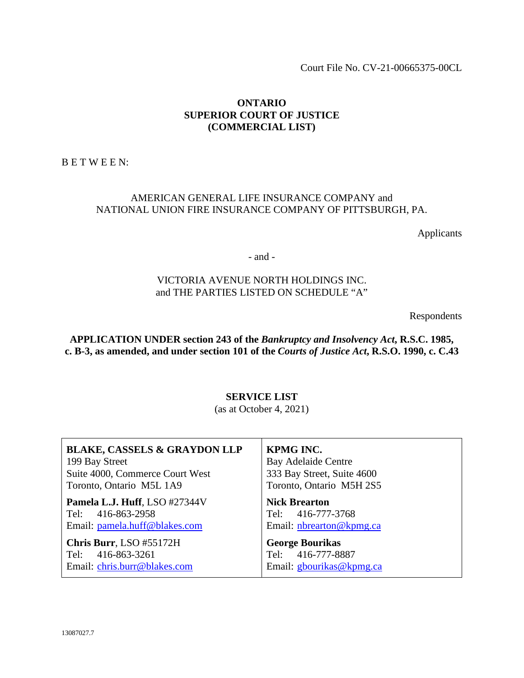Court File No. CV-21-00665375-00CL

### **ONTARIO SUPERIOR COURT OF JUSTICE (COMMERCIAL LIST)**

B E T W E E N:

## AMERICAN GENERAL LIFE INSURANCE COMPANY and NATIONAL UNION FIRE INSURANCE COMPANY OF PITTSBURGH, PA.

Applicants

- and -

## VICTORIA AVENUE NORTH HOLDINGS INC. and THE PARTIES LISTED ON SCHEDULE "A"

Respondents

**APPLICATION UNDER section 243 of the** *Bankruptcy and Insolvency Act***, R.S.C. 1985, c. B-3, as amended, and under section 101 of the** *Courts of Justice Act***, R.S.O. 1990, c. C.43** 

# **SERVICE LIST**

(as at October 4, 2021)

| <b>BLAKE, CASSELS &amp; GRAYDON LLP</b> | KPMG INC.                  |
|-----------------------------------------|----------------------------|
| 199 Bay Street                          | <b>Bay Adelaide Centre</b> |
| Suite 4000, Commerce Court West         | 333 Bay Street, Suite 4600 |
| Toronto, Ontario M5L 1A9                | Toronto, Ontario M5H 2S5   |
| Pamela L.J. Huff, LSO #27344V           | <b>Nick Brearton</b>       |
| Tel: 416-863-2958                       | Tel: 416-777-3768          |
| Email: pamela.huff@blakes.com           | Email: nbrearton@kpmg.ca   |
| Chris Burr, LSO #55172H                 | <b>George Bourikas</b>     |
| Tel: 416-863-3261                       | Tel: 416-777-8887          |
| Email: chris.burr@blakes.com            | Email: gbourikas@kpmg.ca   |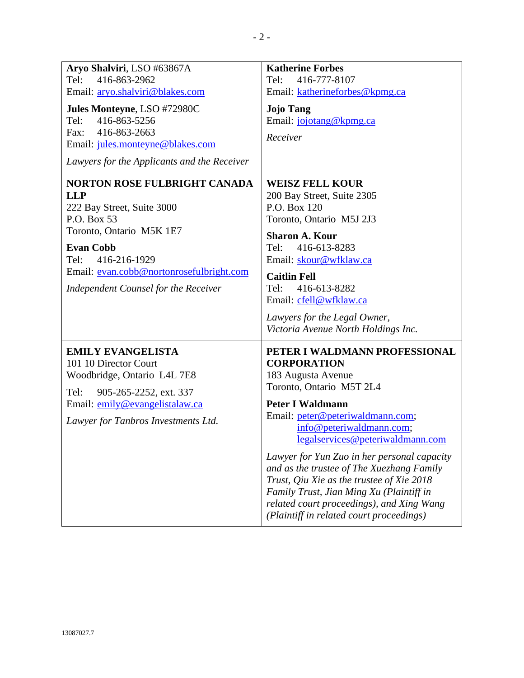| Aryo Shalviri, LSO #63867A<br>416-863-2962<br>Tel:<br>Email: aryo.shalviri@blakes.com<br>Jules Monteyne, LSO #72980C<br>416-863-5256<br>Tel:<br>Fax: 416-863-2663<br>Email: jules.monteyne@blakes.com<br>Lawyers for the Applicants and the Receiver              | <b>Katherine Forbes</b><br>416-777-8107<br>Tel:<br>Email: katherineforbes@kpmg.ca<br><b>Jojo Tang</b><br>Email: jojotang@kpmg.ca<br>Receiver                                                                                                                                                                                                                                                                                                                                                                       |
|-------------------------------------------------------------------------------------------------------------------------------------------------------------------------------------------------------------------------------------------------------------------|--------------------------------------------------------------------------------------------------------------------------------------------------------------------------------------------------------------------------------------------------------------------------------------------------------------------------------------------------------------------------------------------------------------------------------------------------------------------------------------------------------------------|
| <b>NORTON ROSE FULBRIGHT CANADA</b><br><b>LLP</b><br>222 Bay Street, Suite 3000<br>P.O. Box 53<br>Toronto, Ontario M5K 1E7<br><b>Evan Cobb</b><br>Tel:<br>416-216-1929<br>Email: evan.cobb@nortonrosefulbright.com<br><b>Independent Counsel for the Receiver</b> | <b>WEISZ FELL KOUR</b><br>200 Bay Street, Suite 2305<br>P.O. Box 120<br>Toronto, Ontario M5J 2J3<br><b>Sharon A. Kour</b><br>416-613-8283<br>Tel:<br>Email: skour@wfklaw.ca<br><b>Caitlin Fell</b><br>416-613-8282<br>Tel:<br>Email: cfell@wfklaw.ca<br>Lawyers for the Legal Owner,<br>Victoria Avenue North Holdings Inc.                                                                                                                                                                                        |
| <b>EMILY EVANGELISTA</b><br>101 10 Director Court<br>Woodbridge, Ontario L4L 7E8<br>Tel:<br>905-265-2252, ext. 337<br>Email: emily@evangelistalaw.ca<br>Lawyer for Tanbros Investments Ltd.                                                                       | PETER I WALDMANN PROFESSIONAL<br><b>CORPORATION</b><br>183 Augusta Avenue<br>Toronto, Ontario M5T 2L4<br><b>Peter I Waldmann</b><br>Email: peter@peteriwaldmann.com;<br>info@peteriwaldmann.com;<br>legalservices@peteriwaldmann.com<br>Lawyer for Yun Zuo in her personal capacity<br>and as the trustee of The Xuezhang Family<br>Trust, Qiu Xie as the trustee of Xie 2018<br>Family Trust, Jian Ming Xu (Plaintiff in<br>related court proceedings), and Xing Wang<br>(Plaintiff in related court proceedings) |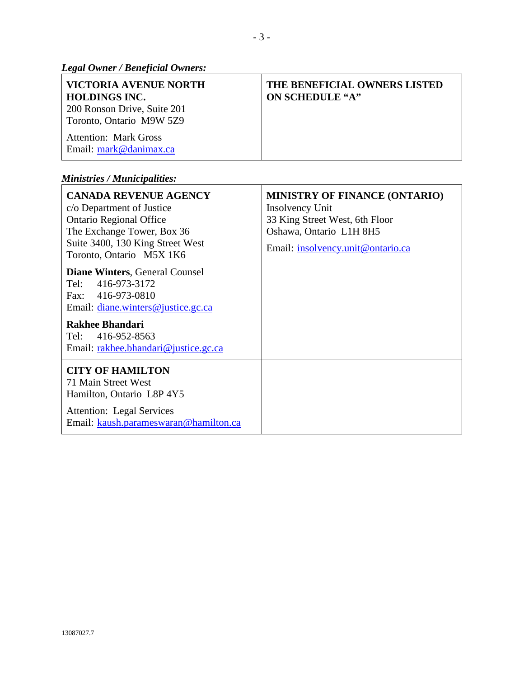*Legal Owner / Beneficial Owners:* 

| VICTORIA AVENUE NORTH<br><b>HOLDINGS INC.</b><br>200 Ronson Drive, Suite 201<br>Toronto, Ontario M9W 5Z9 | THE BENEFICIAL OWNERS LISTED<br><b>ON SCHEDULE "A"</b> |
|----------------------------------------------------------------------------------------------------------|--------------------------------------------------------|
| <b>Attention: Mark Gross</b><br>Email: mark@danimax.ca                                                   |                                                        |

# *Ministries / Municipalities:*

| <b>CANADA REVENUE AGENCY</b><br>c/o Department of Justice<br><b>Ontario Regional Office</b><br>The Exchange Tower, Box 36<br>Suite 3400, 130 King Street West<br>Toronto, Ontario M5X 1K6                | <b>MINISTRY OF FINANCE (ONTARIO)</b><br>Insolvency Unit<br>33 King Street West, 6th Floor<br>Oshawa, Ontario L1H 8H5<br>Email: insolvency.unit@ontario.ca |
|----------------------------------------------------------------------------------------------------------------------------------------------------------------------------------------------------------|-----------------------------------------------------------------------------------------------------------------------------------------------------------|
| <b>Diane Winters, General Counsel</b><br>Tel:<br>416-973-3172<br>Fax: 416-973-0810<br>Email: diane.winters@justice.gc.ca<br>Rakhee Bhandari<br>Tel: 416-952-8563<br>Email: rakhee.bhandari@justice.gc.ca |                                                                                                                                                           |
| <b>CITY OF HAMILTON</b><br>71 Main Street West<br>Hamilton, Ontario L8P 4Y5<br><b>Attention:</b> Legal Services<br>Email: kaush.parameswaran@hamilton.ca                                                 |                                                                                                                                                           |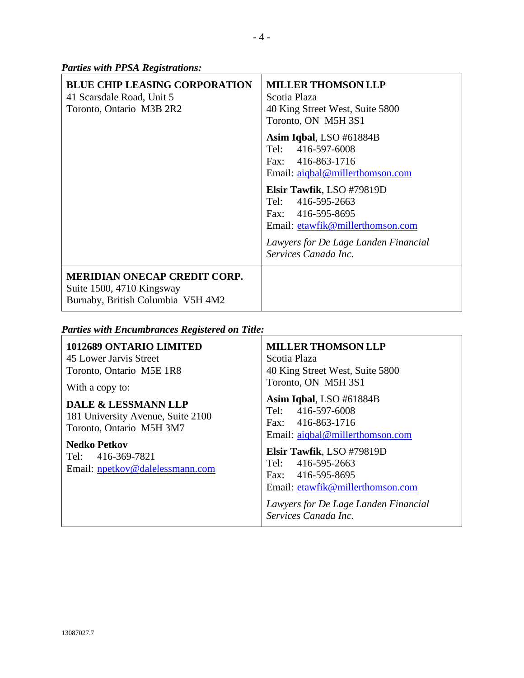*Parties with PPSA Registrations:* 

| <b>BLUE CHIP LEASING CORPORATION</b><br>41 Scarsdale Road, Unit 5<br>Toronto, Ontario M3B 2R2         | <b>MILLER THOMSON LLP</b><br>Scotia Plaza<br>40 King Street West, Suite 5800<br>Toronto, ON M5H 3S1                                                                     |
|-------------------------------------------------------------------------------------------------------|-------------------------------------------------------------------------------------------------------------------------------------------------------------------------|
|                                                                                                       | Asim Iqbal, LSO #61884B<br>Tel: 416-597-6008<br>Fax: 416-863-1716<br>Email: aigbal@millerthomson.com                                                                    |
|                                                                                                       | Elsir Tawfik, LSO #79819D<br>Tel: 416-595-2663<br>Fax: 416-595-8695<br>Email: etawfik@millerthomson.com<br>Lawyers for De Lage Landen Financial<br>Services Canada Inc. |
| <b>MERIDIAN ONECAP CREDIT CORP.</b><br>Suite 1500, 4710 Kingsway<br>Burnaby, British Columbia V5H 4M2 |                                                                                                                                                                         |

*Parties with Encumbrances Registered on Title:* 

| 1012689 ONTARIO LIMITED<br>45 Lower Jarvis Street<br>Toronto, Ontario M5E 1R8<br>With a copy to:<br><b>DALE &amp; LESSMANN LLP</b><br>181 University Avenue, Suite 2100 | <b>MILLER THOMSON LLP</b><br>Scotia Plaza<br>40 King Street West, Suite 5800<br>Toronto, ON M5H 3S1<br>Asim Iqbal, LSO #61884B<br>416-597-6008<br>Tel:                                                                          |
|-------------------------------------------------------------------------------------------------------------------------------------------------------------------------|---------------------------------------------------------------------------------------------------------------------------------------------------------------------------------------------------------------------------------|
| Toronto, Ontario M5H 3M7<br><b>Nedko Petkov</b><br>Tel: 416-369-7821<br>Email: npetkov@dalelessmann.com                                                                 | Fax: 416-863-1716<br>Email: aiqbal@millerthomson.com<br>Elsir Tawfik, LSO #79819D<br>Tel: 416-595-2663<br>Fax: 416-595-8695<br>Email: etawfik@millerthomson.com<br>Lawyers for De Lage Landen Financial<br>Services Canada Inc. |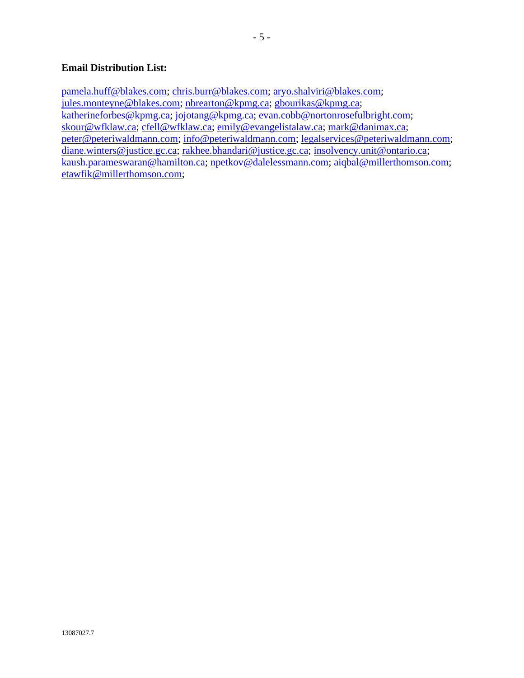## **Email Distribution List:**

pamela.huff@blakes.com; chris.burr@blakes.com; aryo.shalviri@blakes.com; jules.monteyne@blakes.com; nbrearton@kpmg.ca; gbourikas@kpmg.ca; katherineforbes@kpmg.ca; jojotang@kpmg.ca; evan.cobb@nortonrosefulbright.com; skour@wfklaw.ca; cfell@wfklaw.ca; emily@evangelistalaw.ca; mark@danimax.ca; peter@peteriwaldmann.com; info@peteriwaldmann.com; legalservices@peteriwaldmann.com; diane.winters@justice.gc.ca; rakhee.bhandari@justice.gc.ca; insolvency.unit@ontario.ca; kaush.parameswaran@hamilton.ca; npetkov@dalelessmann.com; aiqbal@millerthomson.com; etawfik@millerthomson.com;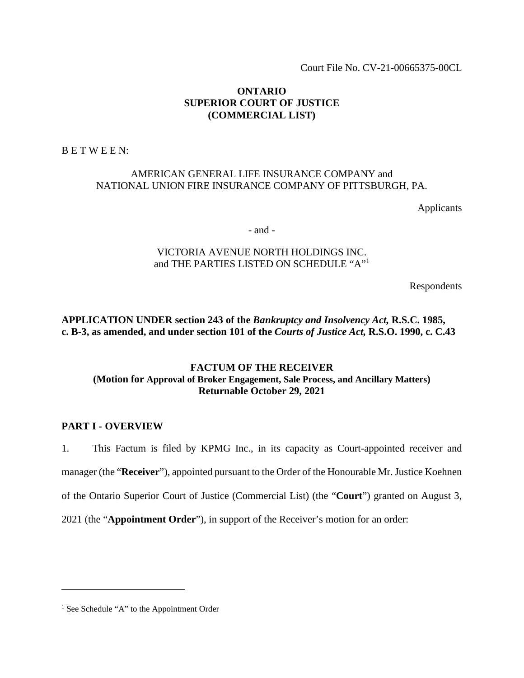Court File No. CV-21-00665375-00CL

### **ONTARIO SUPERIOR COURT OF JUSTICE (COMMERCIAL LIST)**

B E T W E E N:

### AMERICAN GENERAL LIFE INSURANCE COMPANY and NATIONAL UNION FIRE INSURANCE COMPANY OF PITTSBURGH, PA.

Applicants

- and -

## VICTORIA AVENUE NORTH HOLDINGS INC. and THE PARTIES LISTED ON SCHEDULE "A"<sup>1</sup>

Respondents

**APPLICATION UNDER section 243 of the** *Bankruptcy and Insolvency Act,* **R.S.C. 1985, c. B-3, as amended, and under section 101 of the** *Courts of Justice Act,* **R.S.O. 1990, c. C.43** 

## **FACTUM OF THE RECEIVER (Motion for Approval of Broker Engagement, Sale Process, and Ancillary Matters) Returnable October 29, 2021**

### **PART I - OVERVIEW**

1. This Factum is filed by KPMG Inc., in its capacity as Court-appointed receiver and manager (the "**Receiver**"), appointed pursuant to the Order of the Honourable Mr. Justice Koehnen

of the Ontario Superior Court of Justice (Commercial List) (the "**Court**") granted on August 3,

2021 (the "**Appointment Order**"), in support of the Receiver's motion for an order:

<sup>&</sup>lt;sup>1</sup> See Schedule "A" to the Appointment Order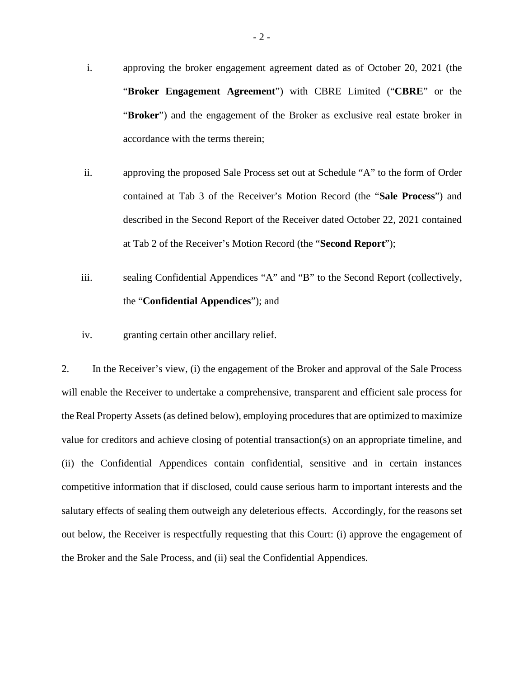- i. approving the broker engagement agreement dated as of October 20, 2021 (the "**Broker Engagement Agreement**") with CBRE Limited ("**CBRE**" or the "**Broker**") and the engagement of the Broker as exclusive real estate broker in accordance with the terms therein;
- ii. approving the proposed Sale Process set out at Schedule "A" to the form of Order contained at Tab 3 of the Receiver's Motion Record (the "**Sale Process**") and described in the Second Report of the Receiver dated October 22, 2021 contained at Tab 2 of the Receiver's Motion Record (the "**Second Report**");
- iii. sealing Confidential Appendices "A" and "B" to the Second Report (collectively, the "**Confidential Appendices**"); and
- iv. granting certain other ancillary relief.

2. In the Receiver's view, (i) the engagement of the Broker and approval of the Sale Process will enable the Receiver to undertake a comprehensive, transparent and efficient sale process for the Real Property Assets (as defined below), employing procedures that are optimized to maximize value for creditors and achieve closing of potential transaction(s) on an appropriate timeline, and (ii) the Confidential Appendices contain confidential, sensitive and in certain instances competitive information that if disclosed, could cause serious harm to important interests and the salutary effects of sealing them outweigh any deleterious effects. Accordingly, for the reasons set out below, the Receiver is respectfully requesting that this Court: (i) approve the engagement of the Broker and the Sale Process, and (ii) seal the Confidential Appendices.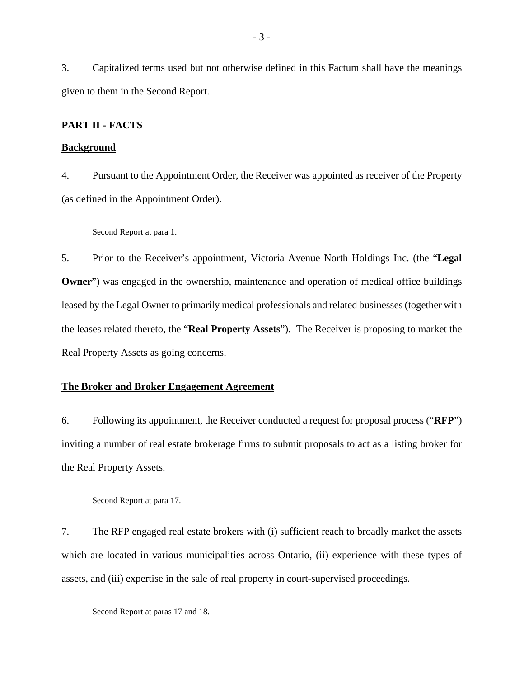3. Capitalized terms used but not otherwise defined in this Factum shall have the meanings given to them in the Second Report.

#### **PART II - FACTS**

#### **Background**

4. Pursuant to the Appointment Order, the Receiver was appointed as receiver of the Property (as defined in the Appointment Order).

Second Report at para 1.

5. Prior to the Receiver's appointment, Victoria Avenue North Holdings Inc. (the "**Legal Owner**") was engaged in the ownership, maintenance and operation of medical office buildings leased by the Legal Owner to primarily medical professionals and related businesses (together with the leases related thereto, the "**Real Property Assets**"). The Receiver is proposing to market the Real Property Assets as going concerns.

### **The Broker and Broker Engagement Agreement**

6. Following its appointment, the Receiver conducted a request for proposal process ("**RFP**") inviting a number of real estate brokerage firms to submit proposals to act as a listing broker for the Real Property Assets.

Second Report at para 17.

7. The RFP engaged real estate brokers with (i) sufficient reach to broadly market the assets which are located in various municipalities across Ontario, (ii) experience with these types of assets, and (iii) expertise in the sale of real property in court-supervised proceedings.

Second Report at paras 17 and 18.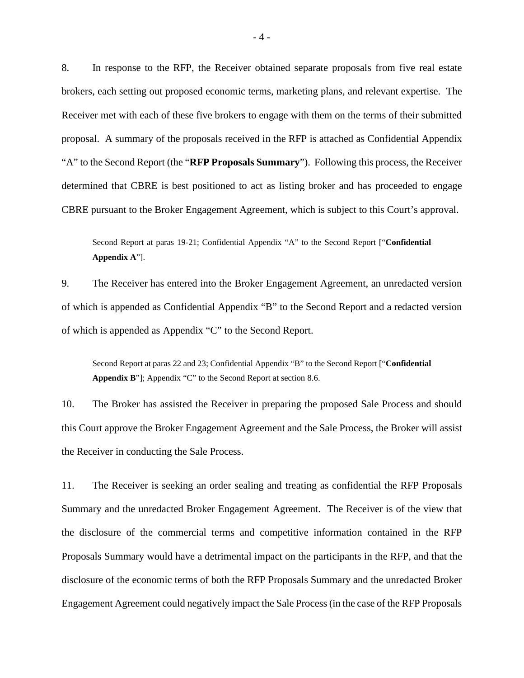8. In response to the RFP, the Receiver obtained separate proposals from five real estate brokers, each setting out proposed economic terms, marketing plans, and relevant expertise. The Receiver met with each of these five brokers to engage with them on the terms of their submitted proposal. A summary of the proposals received in the RFP is attached as Confidential Appendix "A" to the Second Report (the "**RFP Proposals Summary**"). Following this process, the Receiver determined that CBRE is best positioned to act as listing broker and has proceeded to engage CBRE pursuant to the Broker Engagement Agreement, which is subject to this Court's approval.

Second Report at paras 19-21; Confidential Appendix "A" to the Second Report ["**Confidential Appendix A**"].

9. The Receiver has entered into the Broker Engagement Agreement, an unredacted version of which is appended as Confidential Appendix "B" to the Second Report and a redacted version of which is appended as Appendix "C" to the Second Report.

Second Report at paras 22 and 23; Confidential Appendix "B" to the Second Report ["**Confidential Appendix B**"]; Appendix "C" to the Second Report at section 8.6.

10. The Broker has assisted the Receiver in preparing the proposed Sale Process and should this Court approve the Broker Engagement Agreement and the Sale Process, the Broker will assist the Receiver in conducting the Sale Process.

11. The Receiver is seeking an order sealing and treating as confidential the RFP Proposals Summary and the unredacted Broker Engagement Agreement. The Receiver is of the view that the disclosure of the commercial terms and competitive information contained in the RFP Proposals Summary would have a detrimental impact on the participants in the RFP, and that the disclosure of the economic terms of both the RFP Proposals Summary and the unredacted Broker Engagement Agreement could negatively impact the Sale Process (in the case of the RFP Proposals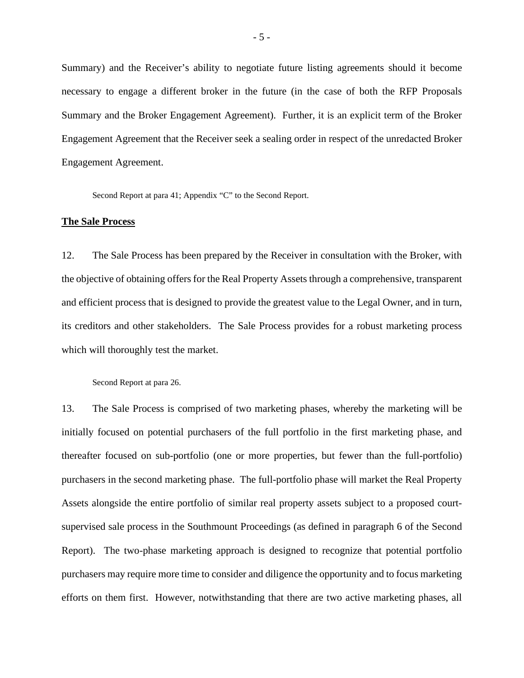Summary) and the Receiver's ability to negotiate future listing agreements should it become necessary to engage a different broker in the future (in the case of both the RFP Proposals Summary and the Broker Engagement Agreement). Further, it is an explicit term of the Broker Engagement Agreement that the Receiver seek a sealing order in respect of the unredacted Broker Engagement Agreement.

Second Report at para 41; Appendix "C" to the Second Report.

#### **The Sale Process**

12. The Sale Process has been prepared by the Receiver in consultation with the Broker, with the objective of obtaining offers for the Real Property Assets through a comprehensive, transparent and efficient process that is designed to provide the greatest value to the Legal Owner, and in turn, its creditors and other stakeholders. The Sale Process provides for a robust marketing process which will thoroughly test the market.

Second Report at para 26.

13. The Sale Process is comprised of two marketing phases, whereby the marketing will be initially focused on potential purchasers of the full portfolio in the first marketing phase, and thereafter focused on sub-portfolio (one or more properties, but fewer than the full-portfolio) purchasers in the second marketing phase. The full-portfolio phase will market the Real Property Assets alongside the entire portfolio of similar real property assets subject to a proposed courtsupervised sale process in the Southmount Proceedings (as defined in paragraph 6 of the Second Report). The two-phase marketing approach is designed to recognize that potential portfolio purchasers may require more time to consider and diligence the opportunity and to focus marketing efforts on them first. However, notwithstanding that there are two active marketing phases, all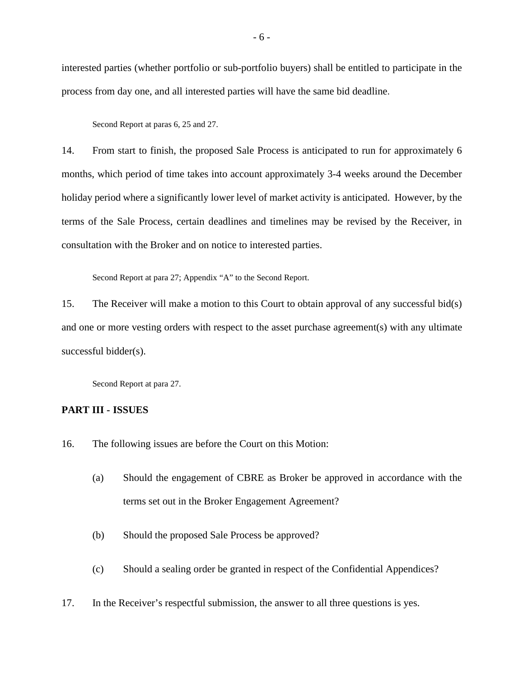interested parties (whether portfolio or sub-portfolio buyers) shall be entitled to participate in the process from day one, and all interested parties will have the same bid deadline.

Second Report at paras 6, 25 and 27.

14. From start to finish, the proposed Sale Process is anticipated to run for approximately 6 months, which period of time takes into account approximately 3-4 weeks around the December holiday period where a significantly lower level of market activity is anticipated. However, by the terms of the Sale Process, certain deadlines and timelines may be revised by the Receiver, in consultation with the Broker and on notice to interested parties.

Second Report at para 27; Appendix "A" to the Second Report.

15. The Receiver will make a motion to this Court to obtain approval of any successful bid(s) and one or more vesting orders with respect to the asset purchase agreement(s) with any ultimate successful bidder(s).

Second Report at para 27.

### **PART III - ISSUES**

- 16. The following issues are before the Court on this Motion:
	- (a) Should the engagement of CBRE as Broker be approved in accordance with the terms set out in the Broker Engagement Agreement?
	- (b) Should the proposed Sale Process be approved?
	- (c) Should a sealing order be granted in respect of the Confidential Appendices?
- 17. In the Receiver's respectful submission, the answer to all three questions is yes.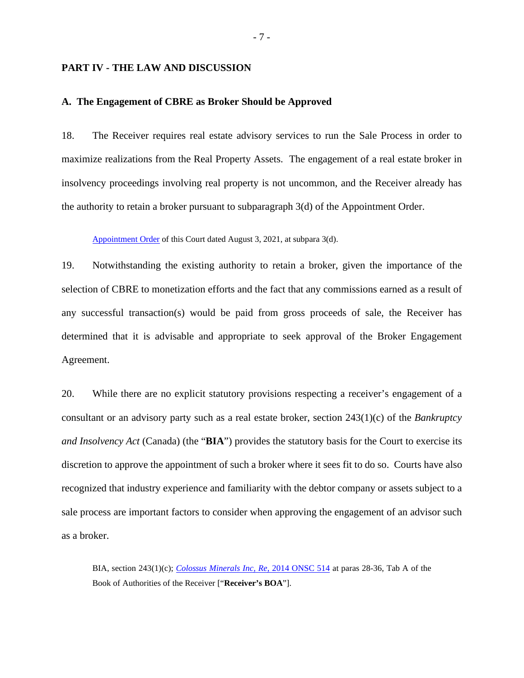#### **PART IV - THE LAW AND DISCUSSION**

#### **A. The Engagement of CBRE as Broker Should be Approved**

18. The Receiver requires real estate advisory services to run the Sale Process in order to maximize realizations from the Real Property Assets. The engagement of a real estate broker in insolvency proceedings involving real property is not uncommon, and the Receiver already has the authority to retain a broker pursuant to subparagraph 3(d) of the Appointment Order.

Appointment Order of this Court dated August 3, 2021, at subpara 3(d).

19. Notwithstanding the existing authority to retain a broker, given the importance of the selection of CBRE to monetization efforts and the fact that any commissions earned as a result of any successful transaction(s) would be paid from gross proceeds of sale, the Receiver has determined that it is advisable and appropriate to seek approval of the Broker Engagement Agreement.

20. While there are no explicit statutory provisions respecting a receiver's engagement of a consultant or an advisory party such as a real estate broker, section 243(1)(c) of the *Bankruptcy and Insolvency Act* (Canada) (the "**BIA**") provides the statutory basis for the Court to exercise its discretion to approve the appointment of such a broker where it sees fit to do so. Courts have also recognized that industry experience and familiarity with the debtor company or assets subject to a sale process are important factors to consider when approving the engagement of an advisor such as a broker.

BIA, section 243(1)(c); *Colossus Minerals Inc, Re*, 2014 ONSC 514 at paras 28-36, Tab A of the Book of Authorities of the Receiver ["**Receiver's BOA**"].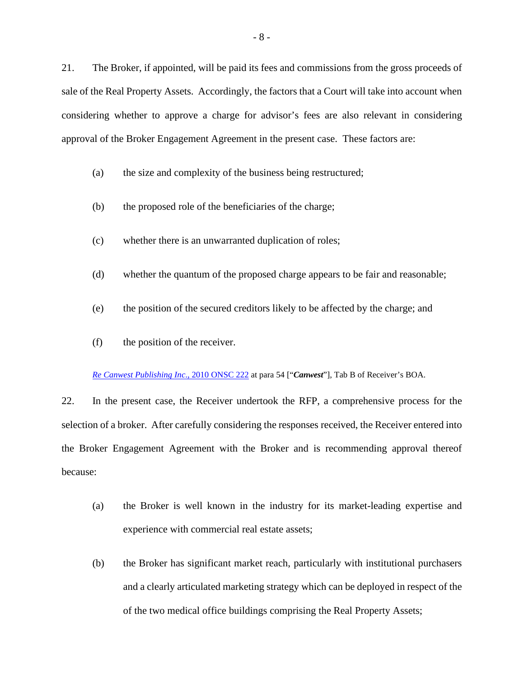21. The Broker, if appointed, will be paid its fees and commissions from the gross proceeds of sale of the Real Property Assets. Accordingly, the factors that a Court will take into account when considering whether to approve a charge for advisor's fees are also relevant in considering approval of the Broker Engagement Agreement in the present case. These factors are:

- (a) the size and complexity of the business being restructured;
- (b) the proposed role of the beneficiaries of the charge;
- (c) whether there is an unwarranted duplication of roles;
- (d) whether the quantum of the proposed charge appears to be fair and reasonable;
- (e) the position of the secured creditors likely to be affected by the charge; and
- (f) the position of the receiver.

*Re Canwest Publishing Inc*., 2010 ONSC 222 at para 54 ["*Canwest*"], Tab B of Receiver's BOA.

22. In the present case, the Receiver undertook the RFP, a comprehensive process for the selection of a broker. After carefully considering the responses received, the Receiver entered into the Broker Engagement Agreement with the Broker and is recommending approval thereof because:

- (a) the Broker is well known in the industry for its market-leading expertise and experience with commercial real estate assets;
- (b) the Broker has significant market reach, particularly with institutional purchasers and a clearly articulated marketing strategy which can be deployed in respect of the of the two medical office buildings comprising the Real Property Assets;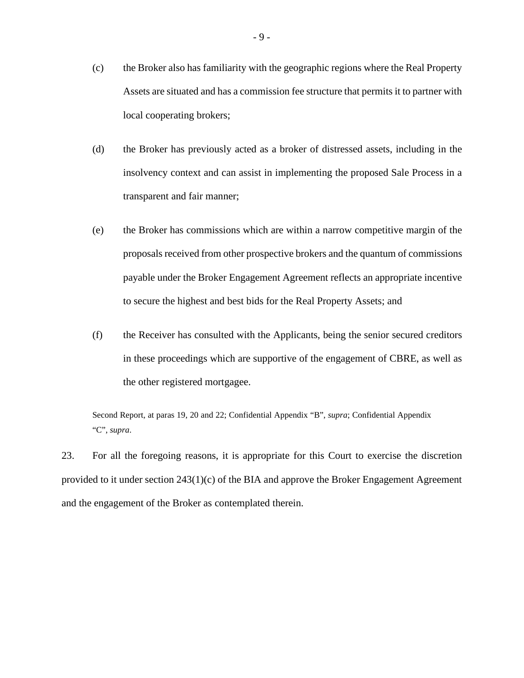- (c) the Broker also has familiarity with the geographic regions where the Real Property Assets are situated and has a commission fee structure that permits it to partner with local cooperating brokers;
- (d) the Broker has previously acted as a broker of distressed assets, including in the insolvency context and can assist in implementing the proposed Sale Process in a transparent and fair manner;
- (e) the Broker has commissions which are within a narrow competitive margin of the proposals received from other prospective brokers and the quantum of commissions payable under the Broker Engagement Agreement reflects an appropriate incentive to secure the highest and best bids for the Real Property Assets; and
- (f) the Receiver has consulted with the Applicants, being the senior secured creditors in these proceedings which are supportive of the engagement of CBRE, as well as the other registered mortgagee.

Second Report, at paras 19, 20 and 22; Confidential Appendix "B", *supra*; Confidential Appendix "C", *supra*.

23. For all the foregoing reasons, it is appropriate for this Court to exercise the discretion provided to it under section 243(1)(c) of the BIA and approve the Broker Engagement Agreement and the engagement of the Broker as contemplated therein.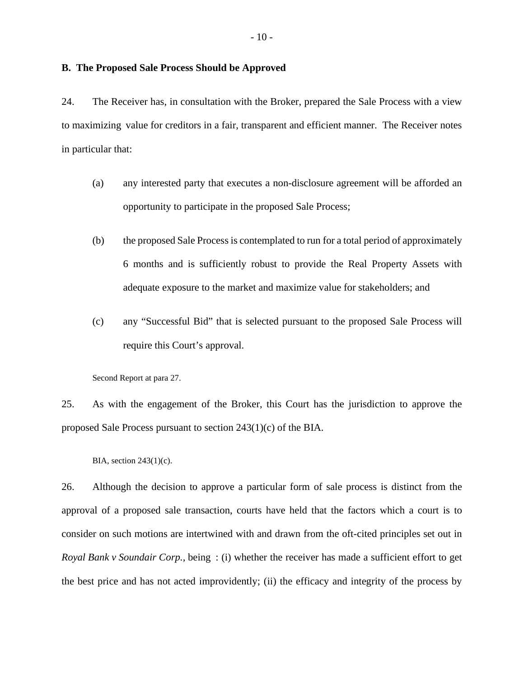#### **B. The Proposed Sale Process Should be Approved**

24. The Receiver has, in consultation with the Broker, prepared the Sale Process with a view to maximizing value for creditors in a fair, transparent and efficient manner. The Receiver notes in particular that:

- (a) any interested party that executes a non-disclosure agreement will be afforded an opportunity to participate in the proposed Sale Process;
- (b) the proposed Sale Process is contemplated to run for a total period of approximately 6 months and is sufficiently robust to provide the Real Property Assets with adequate exposure to the market and maximize value for stakeholders; and
- (c) any "Successful Bid" that is selected pursuant to the proposed Sale Process will require this Court's approval.

Second Report at para 27.

25. As with the engagement of the Broker, this Court has the jurisdiction to approve the proposed Sale Process pursuant to section 243(1)(c) of the BIA.

BIA, section 243(1)(c).

26. Although the decision to approve a particular form of sale process is distinct from the approval of a proposed sale transaction, courts have held that the factors which a court is to consider on such motions are intertwined with and drawn from the oft-cited principles set out in *Royal Bank v Soundair Corp.*, being : (i) whether the receiver has made a sufficient effort to get the best price and has not acted improvidently; (ii) the efficacy and integrity of the process by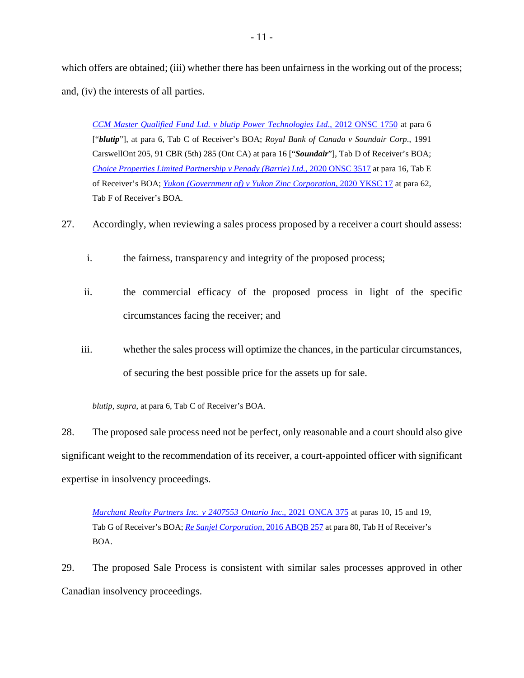which offers are obtained; (iii) whether there has been unfairness in the working out of the process; and, (iv) the interests of all parties.

*CCM Master Qualified Fund Ltd. v blutip Power Technologies Ltd*., 2012 ONSC 1750 at para 6 ["*blutip*"], at para 6, Tab C of Receiver's BOA; *Royal Bank of Canada v Soundair Corp*., 1991 CarswellOnt 205, 91 CBR (5th) 285 (Ont CA) at para 16 ["*Soundair*"], Tab D of Receiver's BOA; *Choice Properties Limited Partnership v Penady (Barrie) Ltd.*, 2020 ONSC 3517 at para 16, Tab E of Receiver's BOA; *Yukon (Government of) v Yukon Zinc Corporation*, 2020 YKSC 17 at para 62, Tab F of Receiver's BOA.

- 27. Accordingly, when reviewing a sales process proposed by a receiver a court should assess:
	- i. the fairness, transparency and integrity of the proposed process;
	- ii. the commercial efficacy of the proposed process in light of the specific circumstances facing the receiver; and
	- iii. whether the sales process will optimize the chances, in the particular circumstances, of securing the best possible price for the assets up for sale.

*blutip*, *supra*, at para 6, Tab C of Receiver's BOA.

28. The proposed sale process need not be perfect, only reasonable and a court should also give significant weight to the recommendation of its receiver, a court-appointed officer with significant expertise in insolvency proceedings.

*Marchant Realty Partners Inc. v 2407553 Ontario Inc*., 2021 ONCA 375 at paras 10, 15 and 19, Tab G of Receiver's BOA; *Re Sanjel Corporation*, 2016 ABQB 257 at para 80, Tab H of Receiver's BOA.

29. The proposed Sale Process is consistent with similar sales processes approved in other Canadian insolvency proceedings.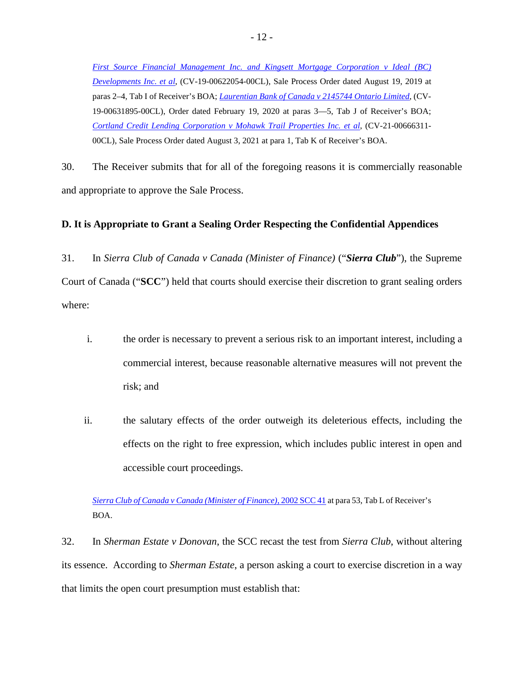*First Source Financial Management Inc. and Kingsett Mortgage Corporation v Ideal (BC) Developments Inc. et al*, (CV-19-00622054-00CL), Sale Process Order dated August 19, 2019 at paras 2–4, Tab I of Receiver's BOA; *Laurentian Bank of Canada v 2145744 Ontario Limited*, (CV-19-00631895-00CL), Order dated February 19, 2020 at paras 3—5, Tab J of Receiver's BOA; *Cortland Credit Lending Corporation v Mohawk Trail Properties Inc. et al*, (CV-21-00666311- 00CL), Sale Process Order dated August 3, 2021 at para 1, Tab K of Receiver's BOA.

30. The Receiver submits that for all of the foregoing reasons it is commercially reasonable and appropriate to approve the Sale Process.

### **D. It is Appropriate to Grant a Sealing Order Respecting the Confidential Appendices**

31. In *Sierra Club of Canada v Canada (Minister of Finance)* ("*Sierra Club*"), the Supreme Court of Canada ("**SCC**") held that courts should exercise their discretion to grant sealing orders where:

- i. the order is necessary to prevent a serious risk to an important interest, including a commercial interest, because reasonable alternative measures will not prevent the risk; and
- ii. the salutary effects of the order outweigh its deleterious effects, including the effects on the right to free expression, which includes public interest in open and accessible court proceedings.

*Sierra Club of Canada v Canada (Minister of Finance)*, 2002 SCC 41 at para 53, Tab L of Receiver's BOA.

32. In *Sherman Estate v Donovan*, the SCC recast the test from *Sierra Club*, without altering its essence. According to *Sherman Estate*, a person asking a court to exercise discretion in a way that limits the open court presumption must establish that: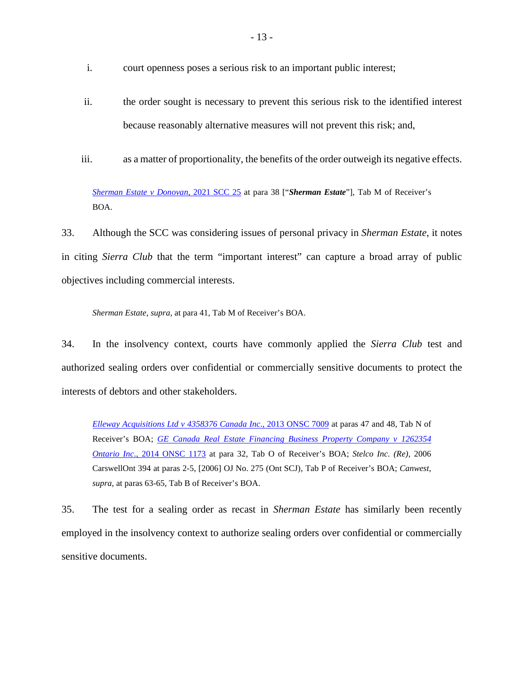- i. court openness poses a serious risk to an important public interest;
- ii. the order sought is necessary to prevent this serious risk to the identified interest because reasonably alternative measures will not prevent this risk; and,
- iii. as a matter of proportionality, the benefits of the order outweigh its negative effects.

*Sherman Estate v Donovan*, 2021 SCC 25 at para 38 ["*Sherman Estate*"], Tab M of Receiver's BOA.

33. Although the SCC was considering issues of personal privacy in *Sherman Estate*, it notes in citing *Sierra Club* that the term "important interest" can capture a broad array of public objectives including commercial interests.

*Sherman Estate*, *supra*, at para 41, Tab M of Receiver's BOA.

34. In the insolvency context, courts have commonly applied the *Sierra Club* test and authorized sealing orders over confidential or commercially sensitive documents to protect the interests of debtors and other stakeholders.

*Elleway Acquisitions Ltd v 4358376 Canada Inc*., 2013 ONSC 7009 at paras 47 and 48, Tab N of Receiver's BOA; *GE Canada Real Estate Financing Business Property Company v 1262354 Ontario Inc*., 2014 ONSC 1173 at para 32, Tab O of Receiver's BOA; *Stelco Inc. (Re)*, 2006 CarswellOnt 394 at paras 2-5, [2006] OJ No. 275 (Ont SCJ), Tab P of Receiver's BOA; *Canwest*, *supra*, at paras 63-65, Tab B of Receiver's BOA.

35. The test for a sealing order as recast in *Sherman Estate* has similarly been recently employed in the insolvency context to authorize sealing orders over confidential or commercially sensitive documents.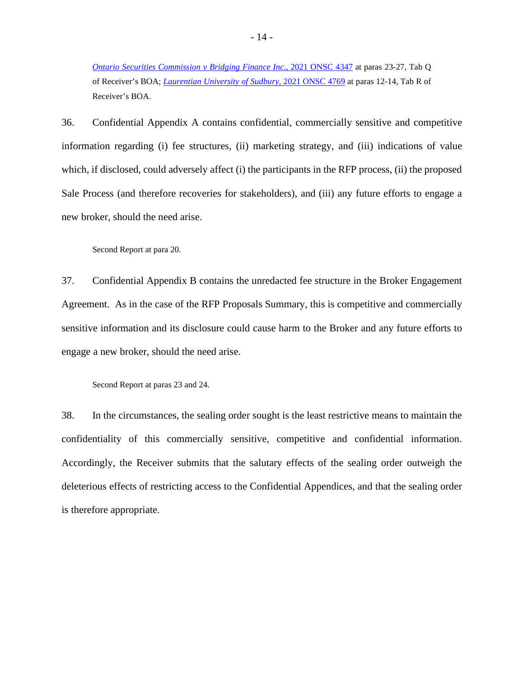*Ontario Securities Commission v Bridging Finance Inc*., 2021 ONSC 4347 at paras 23-27, Tab Q of Receiver's BOA; *Laurentian University of Sudbury*, 2021 ONSC 4769 at paras 12-14, Tab R of Receiver's BOA.

36. Confidential Appendix A contains confidential, commercially sensitive and competitive information regarding (i) fee structures, (ii) marketing strategy, and (iii) indications of value which, if disclosed, could adversely affect (i) the participants in the RFP process, (ii) the proposed Sale Process (and therefore recoveries for stakeholders), and (iii) any future efforts to engage a new broker, should the need arise.

Second Report at para 20.

37. Confidential Appendix B contains the unredacted fee structure in the Broker Engagement Agreement. As in the case of the RFP Proposals Summary, this is competitive and commercially sensitive information and its disclosure could cause harm to the Broker and any future efforts to engage a new broker, should the need arise.

Second Report at paras 23 and 24.

38. In the circumstances, the sealing order sought is the least restrictive means to maintain the confidentiality of this commercially sensitive, competitive and confidential information. Accordingly, the Receiver submits that the salutary effects of the sealing order outweigh the deleterious effects of restricting access to the Confidential Appendices, and that the sealing order is therefore appropriate.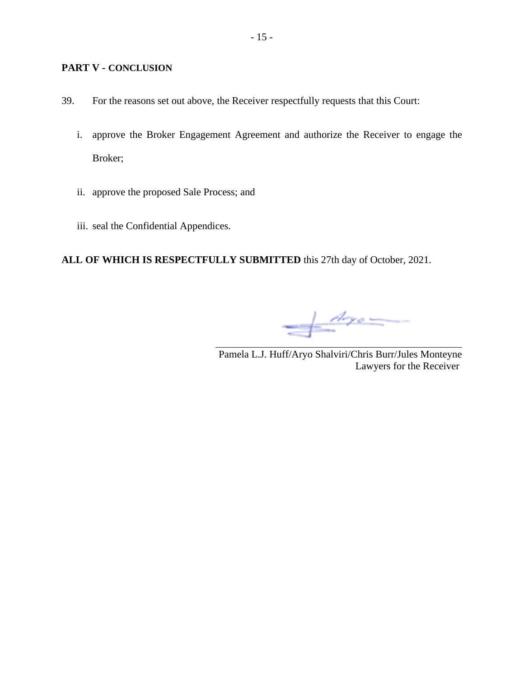### **PART V - CONCLUSION**

- 39. For the reasons set out above, the Receiver respectfully requests that this Court:
	- i. approve the Broker Engagement Agreement and authorize the Receiver to engage the Broker;
	- ii. approve the proposed Sale Process; and
	- iii. seal the Confidential Appendices.

**ALL OF WHICH IS RESPECTFULLY SUBMITTED** this 27th day of October, 2021.

 $\frac{A_{\gamma o}}{A_{\gamma o}}$ 

Pamela L.J. Huff/Aryo Shalviri/Chris Burr/Jules Monteyne Lawyers for the Receiver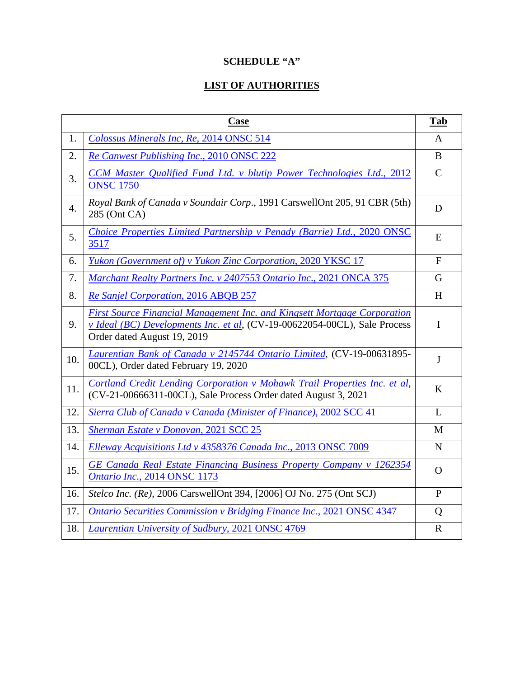# **SCHEDULE "A"**

# **LIST OF AUTHORITIES**

| Case |                                                                                                                                                                                      | Tab           |
|------|--------------------------------------------------------------------------------------------------------------------------------------------------------------------------------------|---------------|
| 1.   | Colossus Minerals Inc, Re, 2014 ONSC 514                                                                                                                                             | A             |
| 2.   | Re Canwest Publishing Inc., 2010 ONSC 222                                                                                                                                            | B             |
| 3.   | CCM Master Qualified Fund Ltd. v blutip Power Technologies Ltd., 2012<br><b>ONSC 1750</b>                                                                                            | $\mathcal{C}$ |
| 4.   | Royal Bank of Canada v Soundair Corp., 1991 CarswellOnt 205, 91 CBR (5th)<br>285 (Ont CA)                                                                                            | D             |
| 5.   | Choice Properties Limited Partnership v Penady (Barrie) Ltd., 2020 ONSC<br>3517                                                                                                      | E             |
| 6.   | Yukon (Government of) v Yukon Zinc Corporation, 2020 YKSC 17                                                                                                                         | F             |
| 7.   | Marchant Realty Partners Inc. v 2407553 Ontario Inc., 2021 ONCA 375                                                                                                                  | G             |
| 8.   | Re Sanjel Corporation, 2016 ABQB 257                                                                                                                                                 | H             |
| 9.   | First Source Financial Management Inc. and Kingsett Mortgage Corporation<br>v Ideal (BC) Developments Inc. et al. (CV-19-00622054-00CL), Sale Process<br>Order dated August 19, 2019 | I             |
| 10.  | Laurentian Bank of Canada v 2145744 Ontario Limited, (CV-19-00631895-<br>00CL), Order dated February 19, 2020                                                                        | J             |
| 11.  | Cortland Credit Lending Corporation v Mohawk Trail Properties Inc. et al,<br>(CV-21-00666311-00CL), Sale Process Order dated August 3, 2021                                          | K             |
| 12.  | Sierra Club of Canada v Canada (Minister of Finance), 2002 SCC 41                                                                                                                    | L             |
| 13.  | <b>Sherman Estate v Donovan, 2021 SCC 25</b>                                                                                                                                         | M             |
| 14.  | Elleway Acquisitions Ltd v 4358376 Canada Inc., 2013 ONSC 7009                                                                                                                       | N             |
| 15.  | GE Canada Real Estate Financing Business Property Company v 1262354<br>Ontario Inc., 2014 ONSC 1173                                                                                  | $\Omega$      |
| 16.  | Stelco Inc. (Re), 2006 CarswellOnt 394, [2006] OJ No. 275 (Ont SCJ)                                                                                                                  | P             |
| 17.  | <b>Ontario Securities Commission v Bridging Finance Inc., 2021 ONSC 4347</b>                                                                                                         | Q             |
| 18.  | Laurentian University of Sudbury, 2021 ONSC 4769                                                                                                                                     | $\mathbf R$   |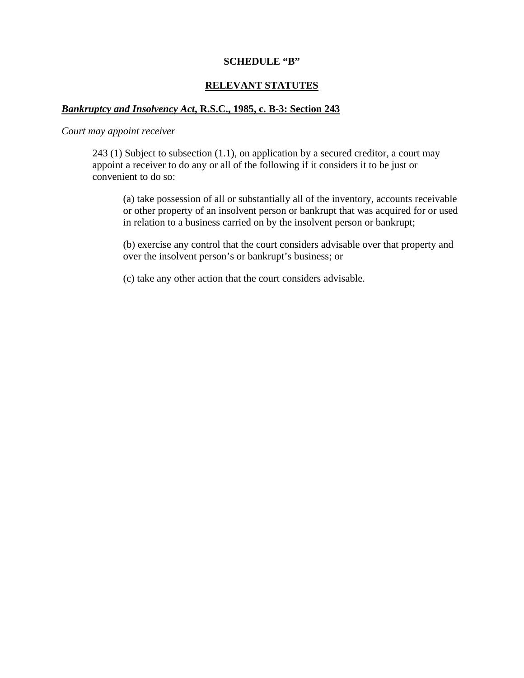#### **SCHEDULE "B"**

# **RELEVANT STATUTES**

## *Bankruptcy and Insolvency Act***, R.S.C., 1985, c. B-3: Section 243**

#### *Court may appoint receiver*

243 (1) Subject to subsection (1.1), on application by a secured creditor, a court may appoint a receiver to do any or all of the following if it considers it to be just or convenient to do so:

(a) take possession of all or substantially all of the inventory, accounts receivable or other property of an insolvent person or bankrupt that was acquired for or used in relation to a business carried on by the insolvent person or bankrupt;

(b) exercise any control that the court considers advisable over that property and over the insolvent person's or bankrupt's business; or

(c) take any other action that the court considers advisable.